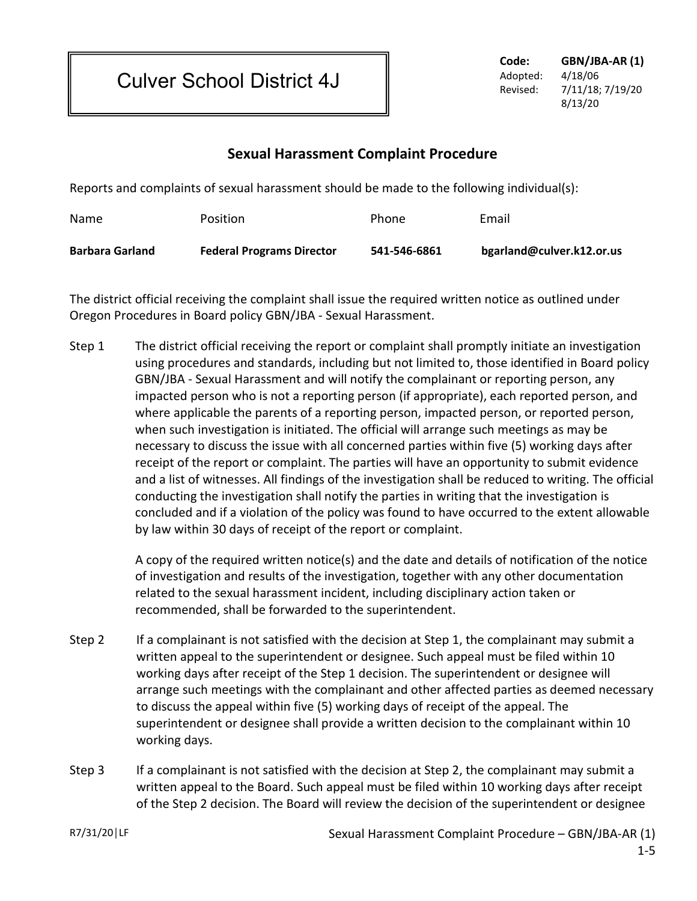Culver School District 4J

**Code: GBN/JBA-AR (1)** Adopted: 4/18/06 Revised: 7/11/18; 7/19/20 8/13/20

## **Sexual Harassment Complaint Procedure**

Reports and complaints of sexual harassment should be made to the following individual(s):

| Name                   | Position                         | Phone        | Email                     |
|------------------------|----------------------------------|--------------|---------------------------|
| <b>Barbara Garland</b> | <b>Federal Programs Director</b> | 541-546-6861 | bgarland@culver.k12.or.us |

The district official receiving the complaint shall issue the required written notice as outlined under Oregon Procedures in Board policy GBN/JBA - Sexual Harassment.

Step 1 The district official receiving the report or complaint shall promptly initiate an investigation using procedures and standards, including but not limited to, those identified in Board policy GBN/JBA - Sexual Harassment and will notify the complainant or reporting person, any impacted person who is not a reporting person (if appropriate), each reported person, and where applicable the parents of a reporting person, impacted person, or reported person, when such investigation is initiated. The official will arrange such meetings as may be necessary to discuss the issue with all concerned parties within five (5) working days after receipt of the report or complaint. The parties will have an opportunity to submit evidence and a list of witnesses. All findings of the investigation shall be reduced to writing. The official conducting the investigation shall notify the parties in writing that the investigation is concluded and if a violation of the policy was found to have occurred to the extent allowable by law within 30 days of receipt of the report or complaint.

> A copy of the required written notice(s) and the date and details of notification of the notice of investigation and results of the investigation, together with any other documentation related to the sexual harassment incident, including disciplinary action taken or recommended, shall be forwarded to the superintendent.

- Step 2 If a complainant is not satisfied with the decision at Step 1, the complainant may submit a written appeal to the superintendent or designee. Such appeal must be filed within 10 working days after receipt of the Step 1 decision. The superintendent or designee will arrange such meetings with the complainant and other affected parties as deemed necessary to discuss the appeal within five (5) working days of receipt of the appeal. The superintendent or designee shall provide a written decision to the complainant within 10 working days.
- Step 3 If a complainant is not satisfied with the decision at Step 2, the complainant may submit a written appeal to the Board. Such appeal must be filed within 10 working days after receipt of the Step 2 decision. The Board will review the decision of the superintendent or designee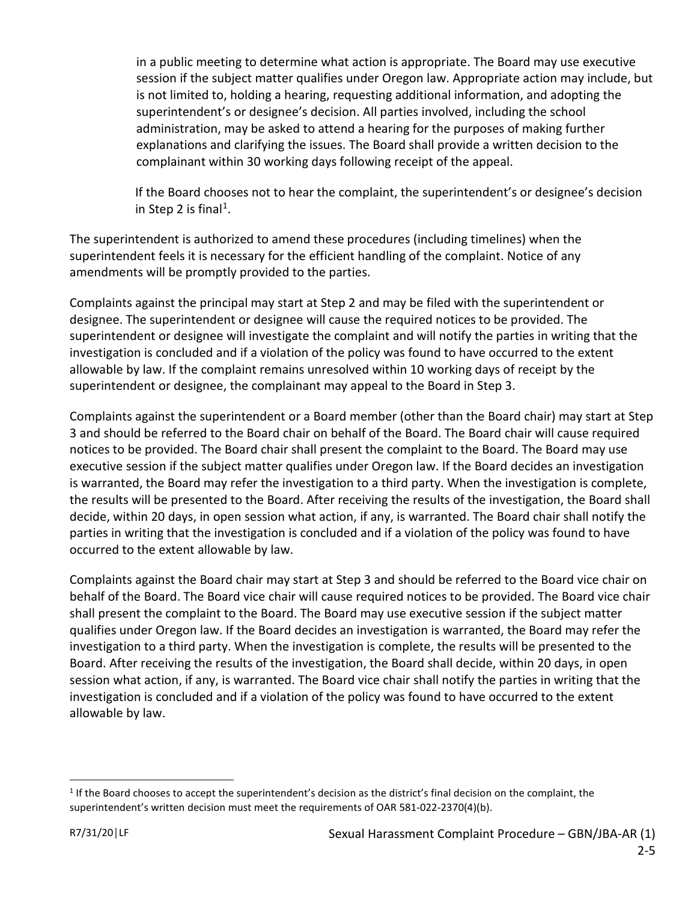in a public meeting to determine what action is appropriate. The Board may use executive session if the subject matter qualifies under Oregon law. Appropriate action may include, but is not limited to, holding a hearing, requesting additional information, and adopting the superintendent's or designee's decision. All parties involved, including the school administration, may be asked to attend a hearing for the purposes of making further explanations and clarifying the issues. The Board shall provide a written decision to the complainant within 30 working days following receipt of the appeal.

If the Board chooses not to hear the complaint, the superintendent's or designee's decision in Step 2 is final<sup>1</sup>.

The superintendent is authorized to amend these procedures (including timelines) when the superintendent feels it is necessary for the efficient handling of the complaint. Notice of any amendments will be promptly provided to the parties.

Complaints against the principal may start at Step 2 and may be filed with the superintendent or designee. The superintendent or designee will cause the required notices to be provided. The superintendent or designee will investigate the complaint and will notify the parties in writing that the investigation is concluded and if a violation of the policy was found to have occurred to the extent allowable by law. If the complaint remains unresolved within 10 working days of receipt by the superintendent or designee, the complainant may appeal to the Board in Step 3.

Complaints against the superintendent or a Board member (other than the Board chair) may start at Step 3 and should be referred to the Board chair on behalf of the Board. The Board chair will cause required notices to be provided. The Board chair shall present the complaint to the Board. The Board may use executive session if the subject matter qualifies under Oregon law. If the Board decides an investigation is warranted, the Board may refer the investigation to a third party. When the investigation is complete, the results will be presented to the Board. After receiving the results of the investigation, the Board shall decide, within 20 days, in open session what action, if any, is warranted. The Board chair shall notify the parties in writing that the investigation is concluded and if a violation of the policy was found to have occurred to the extent allowable by law.

Complaints against the Board chair may start at Step 3 and should be referred to the Board vice chair on behalf of the Board. The Board vice chair will cause required notices to be provided. The Board vice chair shall present the complaint to the Board. The Board may use executive session if the subject matter qualifies under Oregon law. If the Board decides an investigation is warranted, the Board may refer the investigation to a third party. When the investigation is complete, the results will be presented to the Board. After receiving the results of the investigation, the Board shall decide, within 20 days, in open session what action, if any, is warranted. The Board vice chair shall notify the parties in writing that the investigation is concluded and if a violation of the policy was found to have occurred to the extent allowable by law.

 $\overline{a}$ 

<span id="page-1-0"></span> $1$  If the Board chooses to accept the superintendent's decision as the district's final decision on the complaint, the superintendent's written decision must meet the requirements of OAR 581-022-2370(4)(b).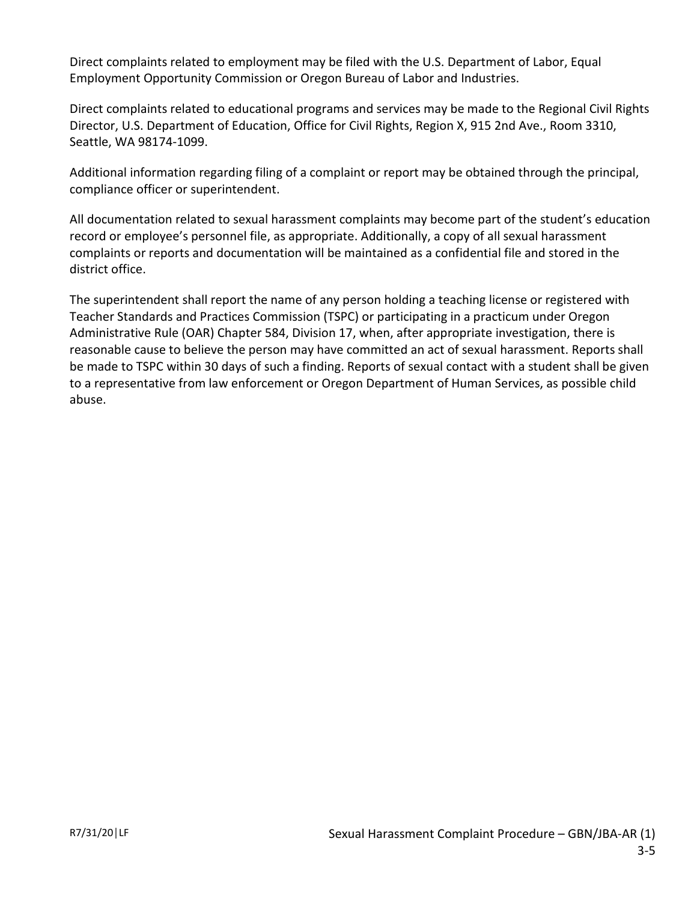Direct complaints related to employment may be filed with the U.S. Department of Labor, Equal Employment Opportunity Commission or Oregon Bureau of Labor and Industries.

Direct complaints related to educational programs and services may be made to the Regional Civil Rights Director, U.S. Department of Education, Office for Civil Rights, Region X, 915 2nd Ave., Room 3310, Seattle, WA 98174-1099.

Additional information regarding filing of a complaint or report may be obtained through the principal, compliance officer or superintendent.

All documentation related to sexual harassment complaints may become part of the student's education record or employee's personnel file, as appropriate. Additionally, a copy of all sexual harassment complaints or reports and documentation will be maintained as a confidential file and stored in the district office.

The superintendent shall report the name of any person holding a teaching license or registered with Teacher Standards and Practices Commission (TSPC) or participating in a practicum under Oregon Administrative Rule (OAR) Chapter 584, Division 17, when, after appropriate investigation, there is reasonable cause to believe the person may have committed an act of sexual harassment. Reports shall be made to TSPC within 30 days of such a finding. Reports of sexual contact with a student shall be given to a representative from law enforcement or Oregon Department of Human Services, as possible child abuse.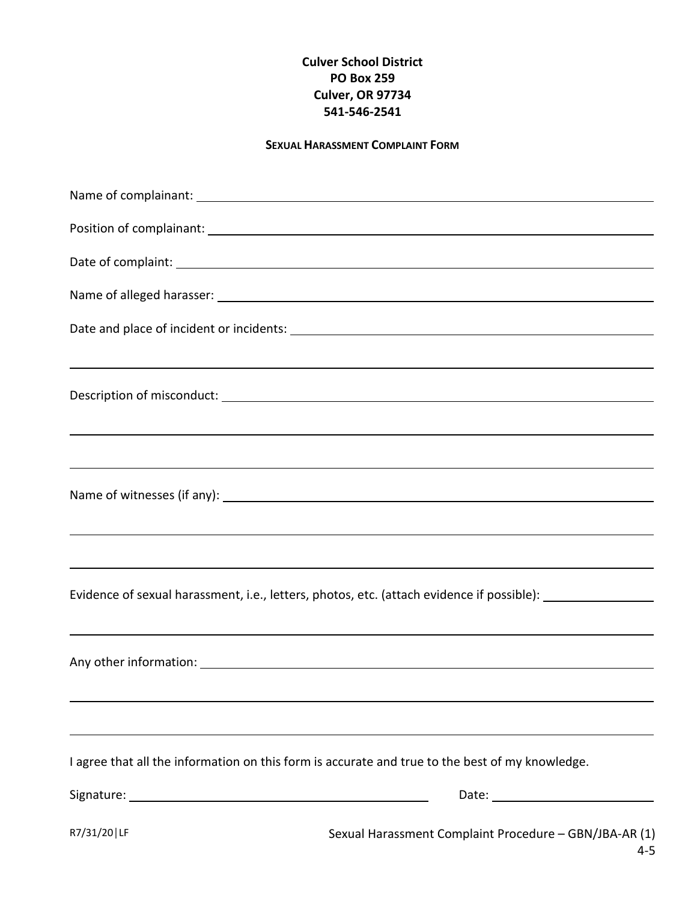## **Culver School District PO Box 259 Culver, OR 97734 541-546-2541**

## **SEXUAL HARASSMENT COMPLAINT FORM**

| Position of complainant: <u>contract and contract and contract and contract and contract and contract and contract and contract and contract and contract and contract and contract and contract and contract and contract and c</u> |
|--------------------------------------------------------------------------------------------------------------------------------------------------------------------------------------------------------------------------------------|
|                                                                                                                                                                                                                                      |
|                                                                                                                                                                                                                                      |
|                                                                                                                                                                                                                                      |
| ,我们也不会有什么。""我们的人,我们也不会有什么?""我们的人,我们也不会有什么?""我们的人,我们也不会有什么?""我们的人,我们也不会有什么?""我们的人                                                                                                                                                     |
|                                                                                                                                                                                                                                      |
| ,我们也不会有什么。""我们的人,我们也不会有什么?""我们的人,我们也不会有什么?""我们的人,我们也不会有什么?""我们的人,我们也不会有什么?""我们的人                                                                                                                                                     |
|                                                                                                                                                                                                                                      |
|                                                                                                                                                                                                                                      |
| ,我们也不会有什么?""我们的人,我们也不会有什么?""我们的人,我们也不会有什么?""我们的人,我们也不会有什么?""我们的人,我们也不会有什么?""我们的人                                                                                                                                                     |
| ,我们也不会有什么。""我们的人,我们也不会有什么?""我们的人,我们也不会有什么?""我们的人,我们也不会有什么?""我们的人,我们也不会有什么?""我们的人                                                                                                                                                     |
|                                                                                                                                                                                                                                      |
|                                                                                                                                                                                                                                      |
| Any other information: 1000 million and the contract of the contract of the contract of the contract of the contract of the contract of the contract of the contract of the contract of the contract of the contract of the co       |
|                                                                                                                                                                                                                                      |
|                                                                                                                                                                                                                                      |
| I agree that all the information on this form is accurate and true to the best of my knowledge.                                                                                                                                      |
|                                                                                                                                                                                                                                      |
|                                                                                                                                                                                                                                      |

R7/31/20 | LF Sexual Harassment Complaint Procedure – GBN/JBA-AR (1) 4-5